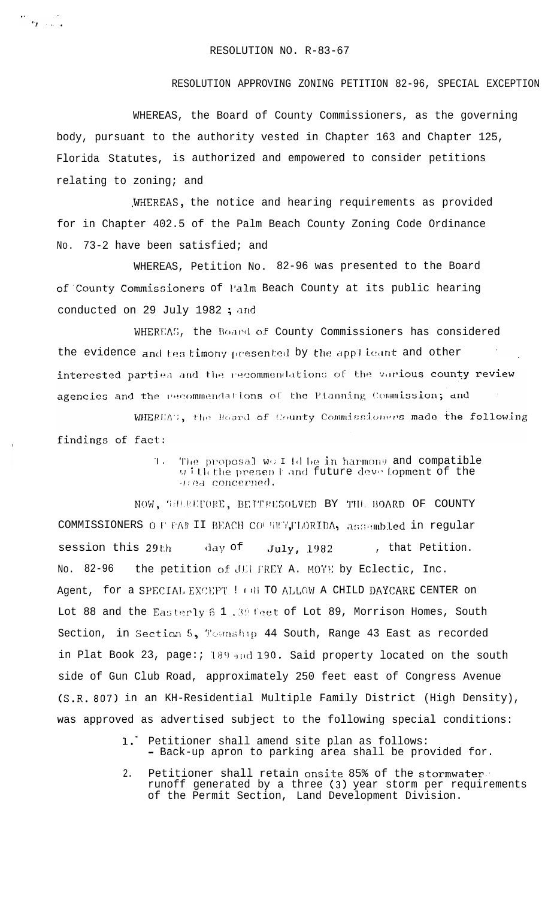$\frac{m}{2}$  of the set

## RESOLUTION APPROVING ZONING PETITION 82-96, SPECIAL EXCEPTION

WHEREAS, the Board of County Commissioners, as the governing body, pursuant to the authority vested in Chapter 163 and Chapter 125, Florida Statutes, is authorized and empowered to consider petitions relating to zoning; and

WHEREAS, the notice and hearing requirements as provided for in Chapter 402.5 of the Palm Beach County Zoning Code Ordinance No. 73-2 have been satisfied; and

WHEREAS, Petition No. 82-96 was presented to the Board of County Commissioners of l'alm Beach County at its public hearing conducted on 29 July 1982; and

WHEREAS, the Board of County Commissioners has considered the evidence and tes timony presented by the applicant and other interested parties and the recommendations of the various county review agencies and the recommendations of the Planning Commission; and

WHEREAS, the Board of County Commissioners made the following findings of fact:

> $T_{\star}$ The proposal wo I (d be in harmony and compatible with the present and future development of the area concerned.

NOW, THEREFORE, BETTRESOLVED BY THE BOARD OF COUNTY COMMISSIONERS O F FAR II BEACH COUNTY, FLORIDA, assembled in regular session this 29th day of July, 1982 , that Petition. No. 82-96 the petition of JEI FREY A. MOYE by Eclectic, Inc. Agent, for a SPECIAL EXCEPT ! ON TO ALLOW A CHILD DAYCARE CENTER on Lot 88 and the Easterly 6 1, 39 feet of Lot 89, Morrison Homes, South Section, in Section 5, Township 44 South, Range 43 East as recorded in Plat Book 23, page: 189 and 190. Said property located on the south side of Gun Club Road, approximately 250 feet east of Congress Avenue (S.R. 807) in an KH-Residential Multiple Family District (High Density), was approved as advertised subject to the following special conditions:

- 1. Petitioner shall amend site plan as follows: - Back-up apron to parking area shall be provided for.
- Petitioner shall retain onsite 85% of the stormwater<br>runoff generated by a three (3) year storm per requirements<br>of the Permit Section, Land Development Division.  $2.$